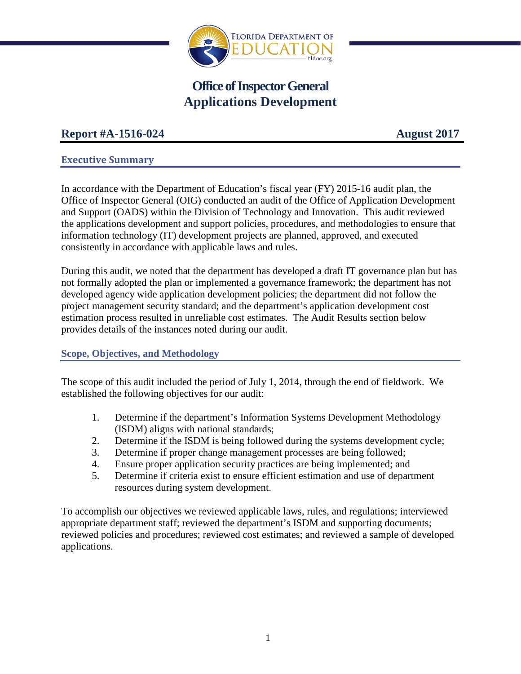

# **Office of Inspector General Applications Development**

## **Report #A-1516-024 August 2017**

## **Executive Summary**

In accordance with the Department of Education's fiscal year (FY) 2015-16 audit plan, the Office of Inspector General (OIG) conducted an audit of the Office of Application Development and Support (OADS) within the Division of Technology and Innovation. This audit reviewed the applications development and support policies, procedures, and methodologies to ensure that information technology (IT) development projects are planned, approved, and executed consistently in accordance with applicable laws and rules.

During this audit, we noted that the department has developed a draft IT governance plan but has not formally adopted the plan or implemented a governance framework; the department has not developed agency wide application development policies; the department did not follow the project management security standard; and the department's application development cost estimation process resulted in unreliable cost estimates. The Audit Results section below provides details of the instances noted during our audit.

## **Scope, Objectives, and Methodology**

The scope of this audit included the period of July 1, 2014, through the end of fieldwork. We established the following objectives for our audit:

- 1. Determine if the department's Information Systems Development Methodology (ISDM) aligns with national standards;
- 2. Determine if the ISDM is being followed during the systems development cycle;
- 3. Determine if proper change management processes are being followed;
- 4. Ensure proper application security practices are being implemented; and
- 5. Determine if criteria exist to ensure efficient estimation and use of department resources during system development.

To accomplish our objectives we reviewed applicable laws, rules, and regulations; interviewed appropriate department staff; reviewed the department's ISDM and supporting documents; reviewed policies and procedures; reviewed cost estimates; and reviewed a sample of developed applications.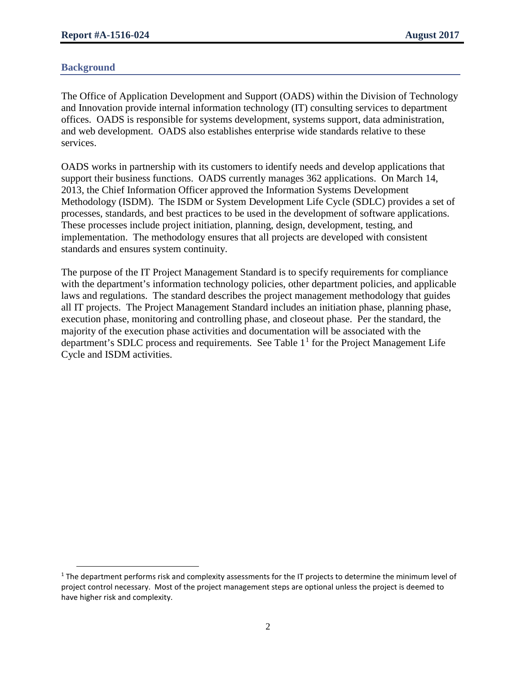#### **Background**

The Office of Application Development and Support (OADS) within the Division of Technology and Innovation provide internal information technology (IT) consulting services to department offices. OADS is responsible for systems development, systems support, data administration, and web development. OADS also establishes enterprise wide standards relative to these services.

OADS works in partnership with its customers to identify needs and develop applications that support their business functions. OADS currently manages 362 applications. On March 14, 2013, the Chief Information Officer approved the Information Systems Development Methodology (ISDM). The ISDM or System Development Life Cycle (SDLC) provides a set of processes, standards, and best practices to be used in the development of software applications. These processes include project initiation, planning, design, development, testing, and implementation. The methodology ensures that all projects are developed with consistent standards and ensures system continuity.

The purpose of the IT Project Management Standard is to specify requirements for compliance with the department's information technology policies, other department policies, and applicable laws and regulations. The standard describes the project management methodology that guides all IT projects. The Project Management Standard includes an initiation phase, planning phase, execution phase, monitoring and controlling phase, and closeout phase. Per the standard, the majority of the execution phase activities and documentation will be associated with the department's SDLC process and requirements. See Table  $1<sup>1</sup>$  $1<sup>1</sup>$  for the Project Management Life Cycle and ISDM activities.

<span id="page-1-0"></span><sup>&</sup>lt;sup>1</sup> The department performs risk and complexity assessments for the IT projects to determine the minimum level of project control necessary. Most of the project management steps are optional unless the project is deemed to have higher risk and complexity.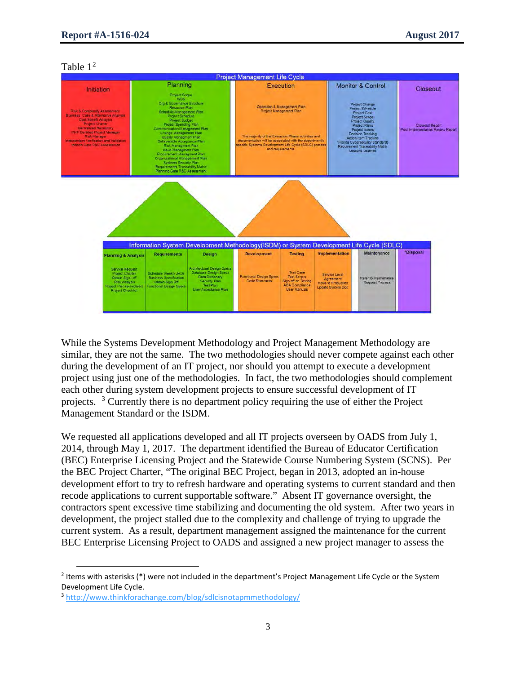#### Table  $1<sup>2</sup>$  $1<sup>2</sup>$  $1<sup>2</sup>$



While the Systems Development Methodology and Project Management Methodology are similar, they are not the same. The two methodologies should never compete against each other during the development of an IT project, nor should you attempt to execute a development project using just one of the methodologies. In fact, the two methodologies should complement each other during system development projects to ensure successful development of IT projects. <sup>[3](#page-2-1)</sup> Currently there is no department policy requiring the use of either the Project Management Standard or the ISDM.

We requested all applications developed and all IT projects overseen by OADS from July 1, 2014, through May 1, 2017. The department identified the Bureau of Educator Certification (BEC) Enterprise Licensing Project and the Statewide Course Numbering System (SCNS). Per the BEC Project Charter, "The original BEC Project, began in 2013, adopted an in-house development effort to try to refresh hardware and operating systems to current standard and then recode applications to current supportable software." Absent IT governance oversight, the contractors spent excessive time stabilizing and documenting the old system. After two years in development, the project stalled due to the complexity and challenge of trying to upgrade the current system. As a result, department management assigned the maintenance for the current BEC Enterprise Licensing Project to OADS and assigned a new project manager to assess the

<span id="page-2-0"></span><sup>&</sup>lt;sup>2</sup> Items with asterisks (\*) were not included in the department's Project Management Life Cycle or the System Development Life Cycle.

<span id="page-2-1"></span><sup>3</sup> <http://www.thinkforachange.com/blog/sdlcisnotapmmethodology/>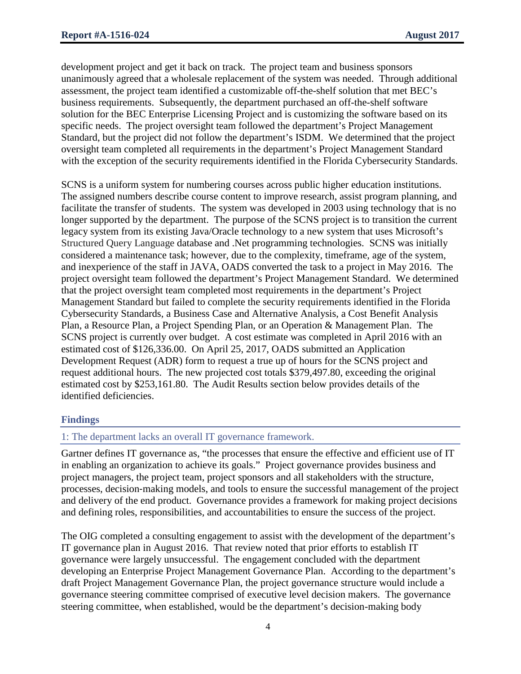development project and get it back on track. The project team and business sponsors unanimously agreed that a wholesale replacement of the system was needed. Through additional assessment, the project team identified a customizable off-the-shelf solution that met BEC's business requirements. Subsequently, the department purchased an off-the-shelf software solution for the BEC Enterprise Licensing Project and is customizing the software based on its specific needs. The project oversight team followed the department's Project Management Standard, but the project did not follow the department's ISDM. We determined that the project oversight team completed all requirements in the department's Project Management Standard with the exception of the security requirements identified in the Florida Cybersecurity Standards.

SCNS is a uniform system for numbering courses across public higher education institutions. The assigned numbers describe course content to improve research, assist program planning, and facilitate the transfer of students. The system was developed in 2003 using technology that is no longer supported by the department. The purpose of the SCNS project is to transition the current legacy system from its existing Java/Oracle technology to a new system that uses Microsoft's Structured Query Language database and .Net programming technologies. SCNS was initially considered a maintenance task; however, due to the complexity, timeframe, age of the system, and inexperience of the staff in JAVA, OADS converted the task to a project in May 2016. The project oversight team followed the department's Project Management Standard. We determined that the project oversight team completed most requirements in the department's Project Management Standard but failed to complete the security requirements identified in the Florida Cybersecurity Standards, a Business Case and Alternative Analysis, a Cost Benefit Analysis Plan, a Resource Plan, a Project Spending Plan, or an Operation & Management Plan. The SCNS project is currently over budget. A cost estimate was completed in April 2016 with an estimated cost of \$126,336.00. On April 25, 2017, OADS submitted an Application Development Request (ADR) form to request a true up of hours for the SCNS project and request additional hours. The new projected cost totals \$379,497.80, exceeding the original estimated cost by \$253,161.80. The Audit Results section below provides details of the identified deficiencies.

## **Findings**

## 1: The department lacks an overall IT governance framework.

Gartner defines IT governance as, "the processes that ensure the effective and efficient use of IT in enabling an organization to achieve its goals." Project governance provides business and project managers, the project team, project sponsors and all stakeholders with the structure, processes, decision‐making models, and tools to ensure the successful management of the project and delivery of the end product. Governance provides a framework for making project decisions and defining roles, responsibilities, and accountabilities to ensure the success of the project.

The OIG completed a consulting engagement to assist with the development of the department's IT governance plan in August 2016. That review noted that prior efforts to establish IT governance were largely unsuccessful. The engagement concluded with the department developing an Enterprise Project Management Governance Plan. According to the department's draft Project Management Governance Plan, the project governance structure would include a governance steering committee comprised of executive level decision makers. The governance steering committee, when established, would be the department's decision-making body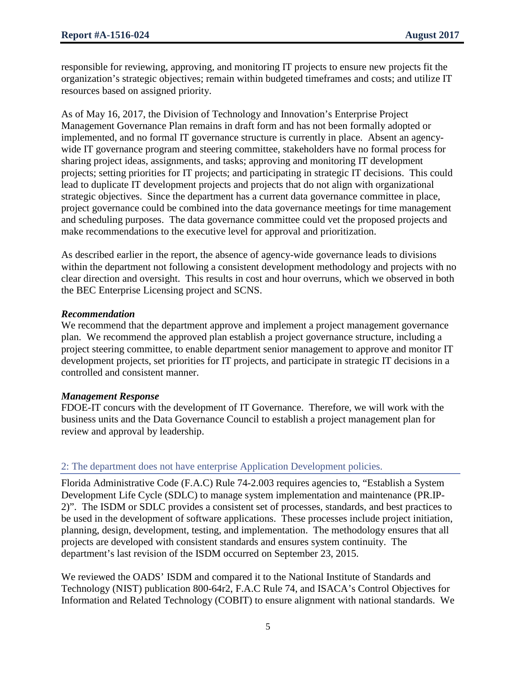responsible for reviewing, approving, and monitoring IT projects to ensure new projects fit the organization's strategic objectives; remain within budgeted timeframes and costs; and utilize IT resources based on assigned priority.

As of May 16, 2017, the Division of Technology and Innovation's Enterprise Project Management Governance Plan remains in draft form and has not been formally adopted or implemented, and no formal IT governance structure is currently in place. Absent an agencywide IT governance program and steering committee, stakeholders have no formal process for sharing project ideas, assignments, and tasks; approving and monitoring IT development projects; setting priorities for IT projects; and participating in strategic IT decisions. This could lead to duplicate IT development projects and projects that do not align with organizational strategic objectives. Since the department has a current data governance committee in place, project governance could be combined into the data governance meetings for time management and scheduling purposes. The data governance committee could vet the proposed projects and make recommendations to the executive level for approval and prioritization.

As described earlier in the report, the absence of agency-wide governance leads to divisions within the department not following a consistent development methodology and projects with no clear direction and oversight. This results in cost and hour overruns, which we observed in both the BEC Enterprise Licensing project and SCNS.

#### *Recommendation*

We recommend that the department approve and implement a project management governance plan. We recommend the approved plan establish a project governance structure, including a project steering committee, to enable department senior management to approve and monitor IT development projects, set priorities for IT projects, and participate in strategic IT decisions in a controlled and consistent manner.

#### *Management Response*

FDOE-IT concurs with the development of IT Governance. Therefore, we will work with the business units and the Data Governance Council to establish a project management plan for review and approval by leadership.

## 2: The department does not have enterprise Application Development policies.

Florida Administrative Code (F.A.C) Rule 74-2.003 requires agencies to, "Establish a System Development Life Cycle (SDLC) to manage system implementation and maintenance (PR.IP-2)". The ISDM or SDLC provides a consistent set of processes, standards, and best practices to be used in the development of software applications. These processes include project initiation, planning, design, development, testing, and implementation. The methodology ensures that all projects are developed with consistent standards and ensures system continuity. The department's last revision of the ISDM occurred on September 23, 2015.

We reviewed the OADS' ISDM and compared it to the National Institute of Standards and Technology (NIST) publication 800-64r2, F.A.C Rule 74, and ISACA's Control Objectives for Information and Related Technology (COBIT) to ensure alignment with national standards. We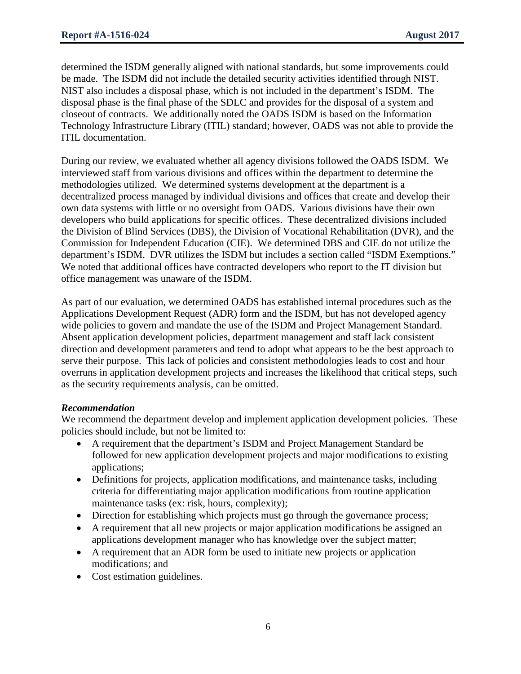determined the ISDM generally aligned with national standards, but some improvements could be made. The ISDM did not include the detailed security activities identified through NIST. NIST also includes a disposal phase, which is not included in the department's ISDM. The disposal phase is the final phase of the SDLC and provides for the disposal of a system and closeout of contracts. We additionally noted the OADS ISDM is based on the Information Technology Infrastructure Library (ITIL) standard; however, OADS was not able to provide the ITIL documentation.

During our review, we evaluated whether all agency divisions followed the OADS ISDM. We interviewed staff from various divisions and offices within the department to determine the methodologies utilized. We determined systems development at the department is a decentralized process managed by individual divisions and offices that create and develop their own data systems with little or no oversight from OADS. Various divisions have their own developers who build applications for specific offices. These decentralized divisions included the Division of Blind Services (DBS), the Division of Vocational Rehabilitation (DVR), and the Commission for Independent Education (CIE). We determined DBS and CIE do not utilize the department's ISDM. DVR utilizes the ISDM but includes a section called "ISDM Exemptions." We noted that additional offices have contracted developers who report to the IT division but office management was unaware of the ISDM.

As part of our evaluation, we determined OADS has established internal procedures such as the Applications Development Request (ADR) form and the ISDM, but has not developed agency wide policies to govern and mandate the use of the ISDM and Project Management Standard. Absent application development policies, department management and staff lack consistent direction and development parameters and tend to adopt what appears to be the best approach to serve their purpose. This lack of policies and consistent methodologies leads to cost and hour overruns in application development projects and increases the likelihood that critical steps, such as the security requirements analysis, can be omitted.

## *Recommendation*

We recommend the department develop and implement application development policies. These policies should include, but not be limited to:

- A requirement that the department's ISDM and Project Management Standard be followed for new application development projects and major modifications to existing applications;
- Definitions for projects, application modifications, and maintenance tasks, including criteria for differentiating major application modifications from routine application maintenance tasks (ex: risk, hours, complexity);
- Direction for establishing which projects must go through the governance process;
- A requirement that all new projects or major application modifications be assigned an applications development manager who has knowledge over the subject matter;
- A requirement that an ADR form be used to initiate new projects or application modifications; and
- Cost estimation guidelines.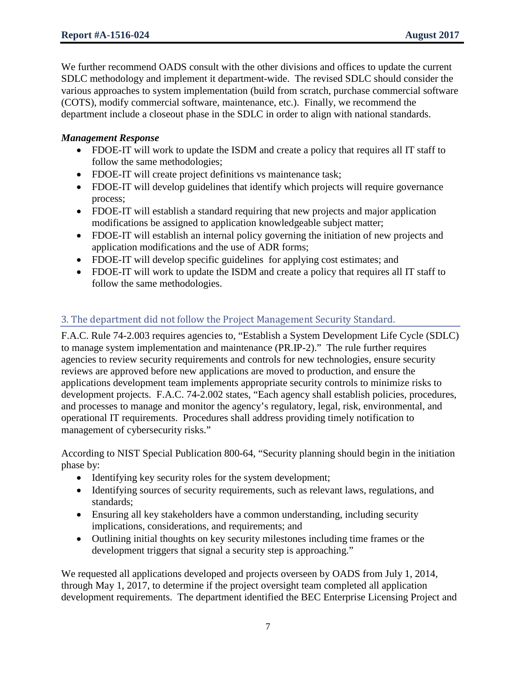We further recommend OADS consult with the other divisions and offices to update the current SDLC methodology and implement it department-wide. The revised SDLC should consider the various approaches to system implementation (build from scratch, purchase commercial software (COTS), modify commercial software, maintenance, etc.). Finally, we recommend the department include a closeout phase in the SDLC in order to align with national standards.

## *Management Response*

- FDOE-IT will work to update the ISDM and create a policy that requires all IT staff to follow the same methodologies;
- FDOE-IT will create project definitions vs maintenance task;
- FDOE-IT will develop guidelines that identify which projects will require governance process;
- FDOE-IT will establish a standard requiring that new projects and major application modifications be assigned to application knowledgeable subject matter;
- FDOE-IT will establish an internal policy governing the initiation of new projects and application modifications and the use of ADR forms;
- FDOE-IT will develop specific guidelines for applying cost estimates; and
- FDOE-IT will work to update the ISDM and create a policy that requires all IT staff to follow the same methodologies.

## 3. The department did not follow the Project Management Security Standard.

F.A.C. Rule 74-2.003 requires agencies to, "Establish a System Development Life Cycle (SDLC) to manage system implementation and maintenance (PR.IP-2)." The rule further requires agencies to review security requirements and controls for new technologies, ensure security reviews are approved before new applications are moved to production, and ensure the applications development team implements appropriate security controls to minimize risks to development projects. F.A.C. 74-2.002 states, "Each agency shall establish policies, procedures, and processes to manage and monitor the agency's regulatory, legal, risk, environmental, and operational IT requirements. Procedures shall address providing timely notification to management of cybersecurity risks."

According to NIST Special Publication 800-64, "Security planning should begin in the initiation phase by:

- Identifying key security roles for the system development;
- Identifying sources of security requirements, such as relevant laws, regulations, and standards;
- Ensuring all key stakeholders have a common understanding, including security implications, considerations, and requirements; and
- Outlining initial thoughts on key security milestones including time frames or the development triggers that signal a security step is approaching."

We requested all applications developed and projects overseen by OADS from July 1, 2014, through May 1, 2017, to determine if the project oversight team completed all application development requirements. The department identified the BEC Enterprise Licensing Project and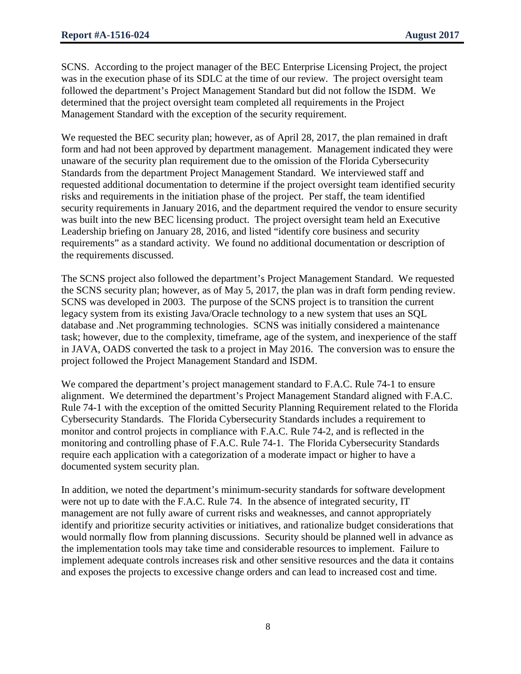SCNS. According to the project manager of the BEC Enterprise Licensing Project, the project was in the execution phase of its SDLC at the time of our review. The project oversight team followed the department's Project Management Standard but did not follow the ISDM. We determined that the project oversight team completed all requirements in the Project Management Standard with the exception of the security requirement.

We requested the BEC security plan; however, as of April 28, 2017, the plan remained in draft form and had not been approved by department management. Management indicated they were unaware of the security plan requirement due to the omission of the Florida Cybersecurity Standards from the department Project Management Standard. We interviewed staff and requested additional documentation to determine if the project oversight team identified security risks and requirements in the initiation phase of the project. Per staff, the team identified security requirements in January 2016, and the department required the vendor to ensure security was built into the new BEC licensing product. The project oversight team held an Executive Leadership briefing on January 28, 2016, and listed "identify core business and security requirements" as a standard activity. We found no additional documentation or description of the requirements discussed.

The SCNS project also followed the department's Project Management Standard. We requested the SCNS security plan; however, as of May 5, 2017, the plan was in draft form pending review. SCNS was developed in 2003. The purpose of the SCNS project is to transition the current legacy system from its existing Java/Oracle technology to a new system that uses an SQL database and .Net programming technologies. SCNS was initially considered a maintenance task; however, due to the complexity, timeframe, age of the system, and inexperience of the staff in JAVA, OADS converted the task to a project in May 2016. The conversion was to ensure the project followed the Project Management Standard and ISDM.

We compared the department's project management standard to F.A.C. Rule 74-1 to ensure alignment. We determined the department's Project Management Standard aligned with F.A.C. Rule 74-1 with the exception of the omitted Security Planning Requirement related to the Florida Cybersecurity Standards. The Florida Cybersecurity Standards includes a requirement to monitor and control projects in compliance with F.A.C. Rule 74-2, and is reflected in the monitoring and controlling phase of F.A.C. Rule 74-1. The Florida Cybersecurity Standards require each application with a categorization of a moderate impact or higher to have a documented system security plan.

In addition, we noted the department's minimum-security standards for software development were not up to date with the F.A.C. Rule 74. In the absence of integrated security, IT management are not fully aware of current risks and weaknesses, and cannot appropriately identify and prioritize security activities or initiatives, and rationalize budget considerations that would normally flow from planning discussions. Security should be planned well in advance as the implementation tools may take time and considerable resources to implement. Failure to implement adequate controls increases risk and other sensitive resources and the data it contains and exposes the projects to excessive change orders and can lead to increased cost and time.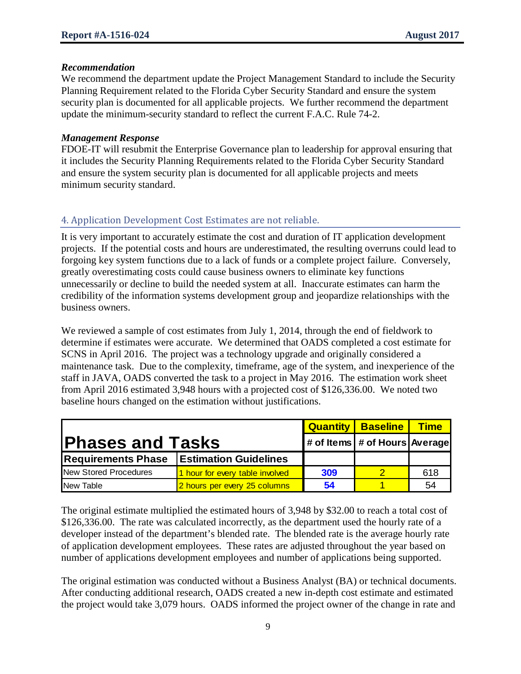#### *Recommendation*

We recommend the department update the Project Management Standard to include the Security Planning Requirement related to the Florida Cyber Security Standard and ensure the system security plan is documented for all applicable projects. We further recommend the department update the minimum-security standard to reflect the current F.A.C. Rule 74-2.

#### *Management Response*

FDOE-IT will resubmit the Enterprise Governance plan to leadership for approval ensuring that it includes the Security Planning Requirements related to the Florida Cyber Security Standard and ensure the system security plan is documented for all applicable projects and meets minimum security standard.

## 4. Application Development Cost Estimates are not reliable.

It is very important to accurately estimate the cost and duration of IT application development projects. If the potential costs and hours are underestimated, the resulting overruns could lead to forgoing key system functions due to a lack of funds or a complete project failure. Conversely, greatly overestimating costs could cause business owners to eliminate key functions unnecessarily or decline to build the needed system at all. Inaccurate estimates can harm the credibility of the information systems development group and jeopardize relationships with the business owners.

We reviewed a sample of cost estimates from July 1, 2014, through the end of fieldwork to determine if estimates were accurate. We determined that OADS completed a cost estimate for SCNS in April 2016. The project was a technology upgrade and originally considered a maintenance task. Due to the complexity, timeframe, age of the system, and inexperience of the staff in JAVA, OADS converted the task to a project in May 2016. The estimation work sheet from April 2016 estimated 3,948 hours with a projected cost of \$126,336.00. We noted two baseline hours changed on the estimation without justifications.

|                              |                                 |     | <b>Quantity Baseline</b>      | <b>Time</b> |
|------------------------------|---------------------------------|-----|-------------------------------|-------------|
| <b>Phases and Tasks</b>      |                                 |     | # of Items # of Hours Average |             |
| <b>Requirements Phase</b>    | <b>Estimation Guidelines</b>    |     |                               |             |
| <b>New Stored Procedures</b> | 1 hour for every table involved | 309 |                               | 618         |
| New Table                    | 2 hours per every 25 columns    | 54  |                               | 54          |

The original estimate multiplied the estimated hours of 3,948 by \$32.00 to reach a total cost of \$126,336.00. The rate was calculated incorrectly, as the department used the hourly rate of a developer instead of the department's blended rate. The blended rate is the average hourly rate of application development employees. These rates are adjusted throughout the year based on number of applications development employees and number of applications being supported.

The original estimation was conducted without a Business Analyst (BA) or technical documents. After conducting additional research, OADS created a new in-depth cost estimate and estimated the project would take 3,079 hours. OADS informed the project owner of the change in rate and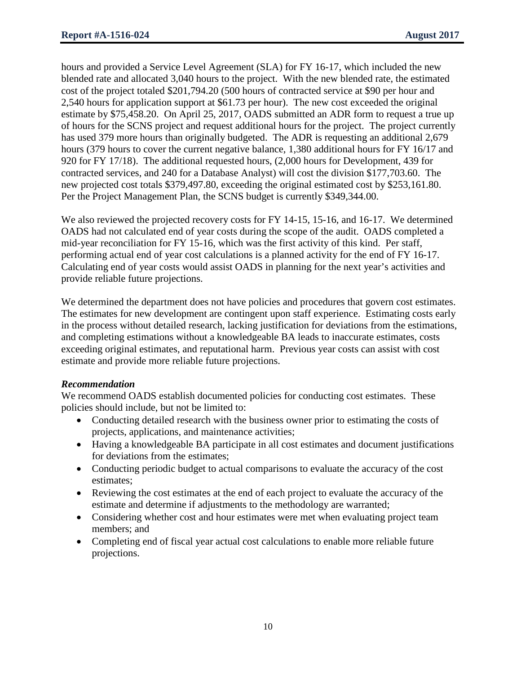hours and provided a Service Level Agreement (SLA) for FY 16-17, which included the new blended rate and allocated 3,040 hours to the project. With the new blended rate, the estimated cost of the project totaled \$201,794.20 (500 hours of contracted service at \$90 per hour and 2,540 hours for application support at \$61.73 per hour). The new cost exceeded the original estimate by \$75,458.20. On April 25, 2017, OADS submitted an ADR form to request a true up of hours for the SCNS project and request additional hours for the project. The project currently has used 379 more hours than originally budgeted. The ADR is requesting an additional 2,679 hours (379 hours to cover the current negative balance, 1,380 additional hours for FY 16/17 and 920 for FY 17/18). The additional requested hours, (2,000 hours for Development, 439 for contracted services, and 240 for a Database Analyst) will cost the division \$177,703.60. The new projected cost totals \$379,497.80, exceeding the original estimated cost by \$253,161.80. Per the Project Management Plan, the SCNS budget is currently \$349,344.00.

We also reviewed the projected recovery costs for FY 14-15, 15-16, and 16-17. We determined OADS had not calculated end of year costs during the scope of the audit. OADS completed a mid-year reconciliation for FY 15-16, which was the first activity of this kind. Per staff, performing actual end of year cost calculations is a planned activity for the end of FY 16-17. Calculating end of year costs would assist OADS in planning for the next year's activities and provide reliable future projections.

We determined the department does not have policies and procedures that govern cost estimates. The estimates for new development are contingent upon staff experience. Estimating costs early in the process without detailed research, lacking justification for deviations from the estimations, and completing estimations without a knowledgeable BA leads to inaccurate estimates, costs exceeding original estimates, and reputational harm. Previous year costs can assist with cost estimate and provide more reliable future projections.

#### *Recommendation*

We recommend OADS establish documented policies for conducting cost estimates. These policies should include, but not be limited to:

- Conducting detailed research with the business owner prior to estimating the costs of projects, applications, and maintenance activities;
- Having a knowledgeable BA participate in all cost estimates and document justifications for deviations from the estimates;
- Conducting periodic budget to actual comparisons to evaluate the accuracy of the cost estimates;
- Reviewing the cost estimates at the end of each project to evaluate the accuracy of the estimate and determine if adjustments to the methodology are warranted;
- Considering whether cost and hour estimates were met when evaluating project team members; and
- Completing end of fiscal year actual cost calculations to enable more reliable future projections.